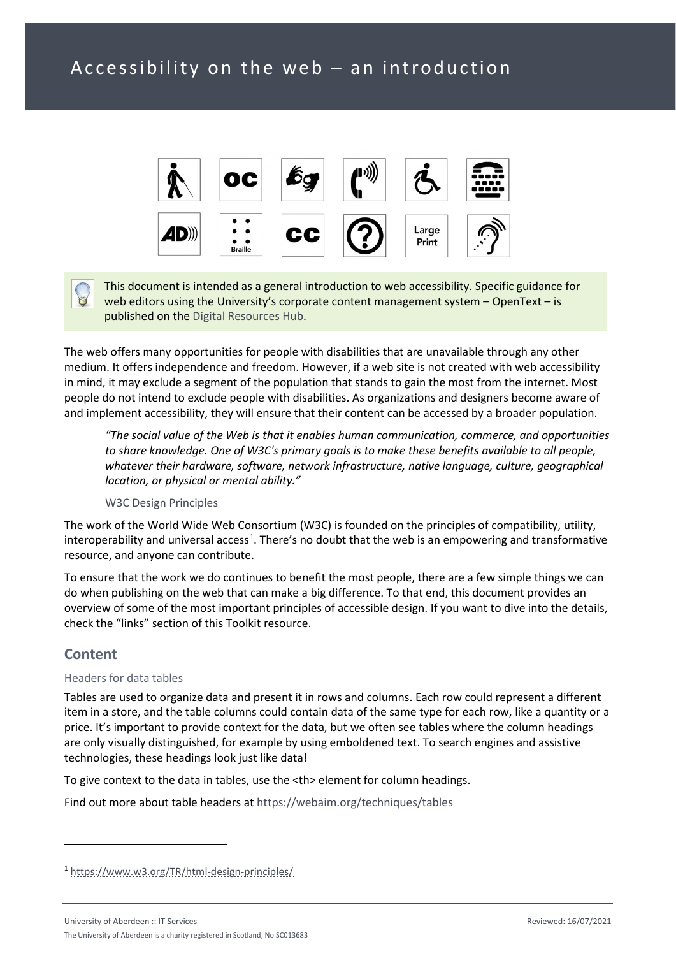

This document is intended as a general introduction to web accessibility. Specific guidance for web editors using the University's corporate content management system – OpenText – is published on the [Digital Resources Hub.](https://www.abdn.ac.uk/digital/accessibility.php)

The web offers many opportunities for people with disabilities that are unavailable through any other medium. It offers independence and freedom. However, if a web site is not created with web accessibility in mind, it may exclude a segment of the population that stands to gain the most from the internet. Most people do not intend to exclude people with disabilities. As organizations and designers become aware of and implement accessibility, they will ensure that their content can be accessed by a broader population.

*"The social value of the Web is that it enables human communication, commerce, and opportunities to share knowledge. One of W3C's primary goals is to make these benefits available to all people, whatever their hardware, software, network infrastructure, native language, culture, geographical location, or physical or mental ability."*

## [W3C Design Principles](https://www.w3.org/Consortium/mission#principles)

The work of the World Wide Web Consortium (W3C) is founded on the principles of compatibility, utility, interoperability and universal access<sup>[1](#page-0-0)</sup>. There's no doubt that the web is an empowering and transformative resource, and anyone can contribute.

To ensure that the work we do continues to benefit the most people, there are a few simple things we can do when publishing on the web that can make a big difference. To that end, this document provides an overview of some of the most important principles of accessible design. If you want to dive into the details, check the "links" section of this Toolkit resource.

# **Content**

#### Headers for data tables

Tables are used to organize data and present it in rows and columns. Each row could represent a different item in a store, and the table columns could contain data of the same type for each row, like a quantity or a price. It's important to provide context for the data, but we often see tables where the column headings are only visually distinguished, for example by using emboldened text. To search engines and assistive technologies, these headings look just like data!

To give context to the data in tables, use the <th> element for column headings.

Find out more about table headers at<https://webaim.org/techniques/tables>

<span id="page-0-0"></span><sup>1</sup> <https://www.w3.org/TR/html-design-principles/>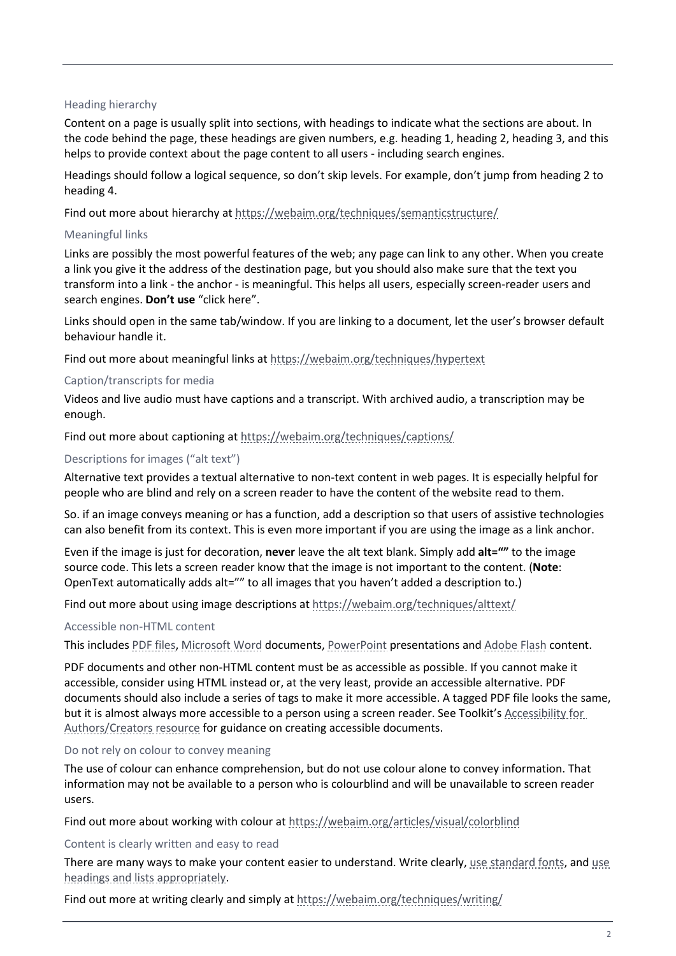#### Heading hierarchy

Content on a page is usually split into sections, with headings to indicate what the sections are about. In the code behind the page, these headings are given numbers, e.g. heading 1, heading 2, heading 3, and this helps to provide context about the page content to all users - including search engines.

Headings should follow a logical sequence, so don't skip levels. For example, don't jump from heading 2 to heading 4.

Find out more about hierarchy at<https://webaim.org/techniques/semanticstructure/>

## Meaningful links

Links are possibly the most powerful features of the web; any page can link to any other. When you create a link you give it the address of the destination page, but you should also make sure that the text you transform into a link - the anchor - is meaningful. This helps all users, especially screen-reader users and search engines. **Don't use** "click here".

Links should open in the same tab/window. If you are linking to a document, let the user's browser default behaviour handle it.

Find out more about meaningful links at<https://webaim.org/techniques/hypertext>

## Caption/transcripts for media

Videos and live audio must have captions and a transcript. With archived audio, a transcription may be enough.

Find out more about captioning at<https://webaim.org/techniques/captions/>

## Descriptions for images ("alt text")

Alternative text provides a textual alternative to non-text content in web pages. It is especially helpful for people who are blind and rely on a screen reader to have the content of the website read to them.

So. if an image conveys meaning or has a function, add a description so that users of assistive technologies can also benefit from its context. This is even more important if you are using the image as a link anchor.

Even if the image is just for decoration, **never** leave the alt text blank. Simply add **alt=""** to the image source code. This lets a screen reader know that the image is not important to the content. (**Note**: OpenText automatically adds alt="" to all images that you haven't added a description to.)

Find out more about using image descriptions at<https://webaim.org/techniques/alttext/>

#### Accessible non-HTML content

This includes [PDF files,](https://webaim.org/techniques/acrobat/) [Microsoft Word](https://webaim.org/techniques/word/) documents[, PowerPoint](https://webaim.org/techniques/powerpoint/) presentations and [Adobe Flash](https://webaim.org/techniques/flash) content.

PDF documents and other non-HTML content must be as accessible as possible. If you cannot make it accessible, consider using HTML instead or, at the very least, provide an accessible alternative. PDF documents should also include a series of tags to make it more accessible. A tagged PDF file looks the same, but it is almost always more accessible to a person using a screen reader. See Toolkit'[s Accessibility for](https://www.abdn.ac.uk/toolkit/skills/accessibility-for-authorscreators/)  [Authors/Creators resource](https://www.abdn.ac.uk/toolkit/skills/accessibility-for-authorscreators/) for guidance on creating accessible documents.

#### Do not rely on colour to convey meaning

The use of colour can enhance comprehension, but do not use colour alone to convey information. That information may not be available to a person who is colourblind and will be unavailable to screen reader users.

Find out more about working with colour at<https://webaim.org/articles/visual/colorblind>

#### Content is clearly written and easy to read

There are many ways to make your content easier to understand. Write clearly, [use standard fonts,](https://webaim.org/techniques/fonts/) and use [headings and lists appropriately.](https://webaim.org/techniques/semanticstructure/)

Find out more at writing clearly and simply a[t https://webaim.org/techniques/writing/](https://webaim.org/techniques/writing/)